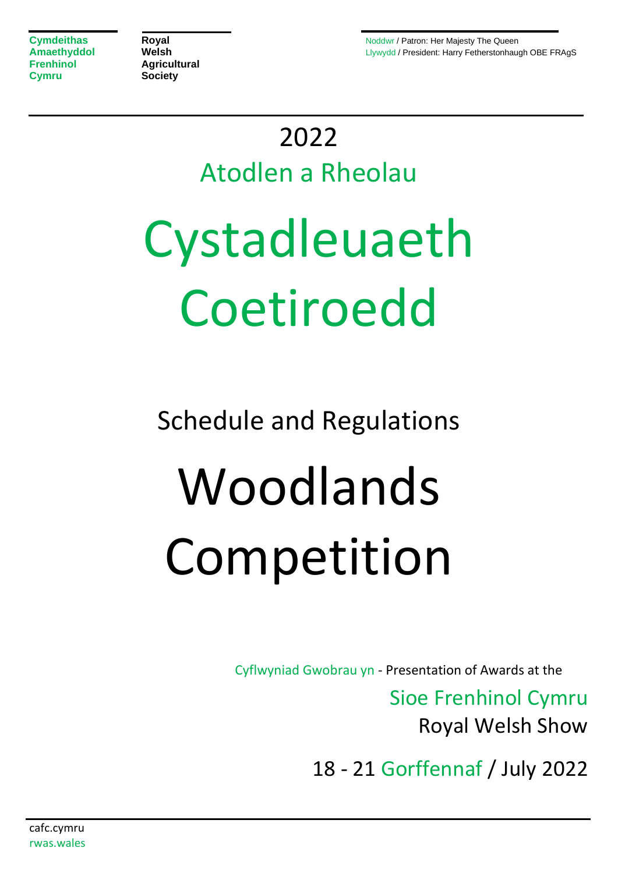**Frenhinol Agricultural Cymru Society**

**Cymdeithas <b>Royal** Royal Royal Royal Research Noddwr / Patron: Her Majesty The Queen **Amaethyddol Welsh Welsh Llywydd / President: Harry Fetherstonhaugh OBE FRAgS** 

## 2022

## Atodlen a Rheolau

# Cystadleuaeth Coetiroedd

Schedule and Regulations

# Woodlands Competition

Cyflwyniad Gwobrau yn - Presentation of Awards at the

Sioe Frenhinol Cymru Royal Welsh Show

18 - 21 Gorffennaf / July 2022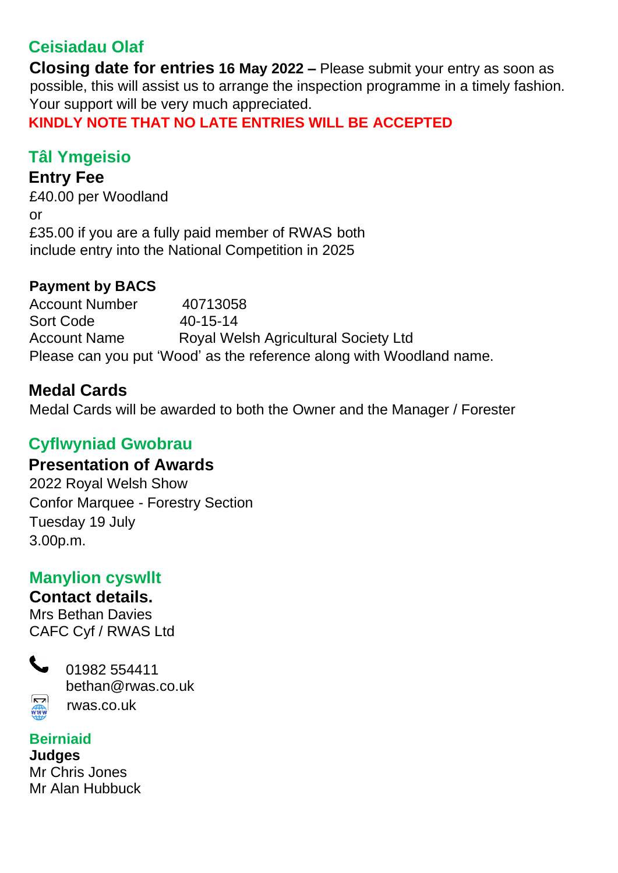## **Ceisiadau Olaf**

**Closing date for entries 16 May 2022 –** Please submit your entry as soon as possible, this will assist us to arrange the inspection programme in a timely fashion. Your support will be very much appreciated.

**KINDLY NOTE THAT NO LATE ENTRIES WILL BE ACCEPTED**

## **Tâl Ymgeisio**

## **Entry Fee**

£40.00 per Woodland or £35.00 if you are a fully paid member of RWAS both include entry into the National Competition in 2025

## **Payment by BACS**

Account Number 40713058 Sort Code 40-15-14 Account Name Royal Welsh Agricultural Society Ltd Please can you put 'Wood' as the reference along with Woodland name.

## **Medal Cards**

Medal Cards will be awarded to both the Owner and the Manager / Forester

## **Cyflwyniad Gwobrau**

## **Presentation of Awards**

2022 Royal Welsh Show Confor Marquee - Forestry Section Tuesday 19 July 3.00p.m.

## **Manylion cyswllt**

## **Contact details.**

Mrs Bethan Davies CAFC Cyf / RWAS Ltd

 $\sqrt{2}$ WWW



## **Beirniaid**

**Judges**

Mr Chris Jones Mr Alan Hubbuck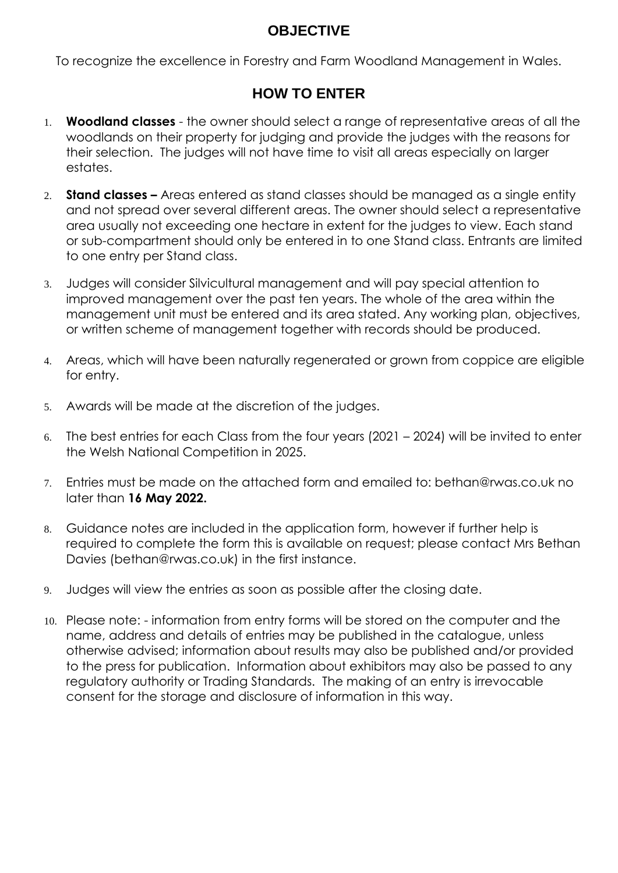## **OBJECTIVE**

To recognize the excellence in Forestry and Farm Woodland Management in Wales.

## **HOW TO ENTER**

- 1. **Woodland classes** the owner should select a range of representative areas of all the woodlands on their property for judging and provide the judges with the reasons for their selection. The judges will not have time to visit all areas especially on larger estates.
- 2. **Stand classes –** Areas entered as stand classes should be managed as a single entity and not spread over several different areas. The owner should select a representative area usually not exceeding one hectare in extent for the judges to view. Each stand or sub-compartment should only be entered in to one Stand class. Entrants are limited to one entry per Stand class.
- 3. Judges will consider Silvicultural management and will pay special attention to improved management over the past ten years. The whole of the area within the management unit must be entered and its area stated. Any working plan, objectives, or written scheme of management together with records should be produced.
- 4. Areas, which will have been naturally regenerated or grown from coppice are eligible for entry.
- 5. Awards will be made at the discretion of the judges.
- 6. The best entries for each Class from the four years (2021 2024) will be invited to enter the Welsh National Competition in 2025.
- 7. Entries must be made on the attached form and emailed to: bethan@rwas.co.uk no later than **16 May 2022.**
- 8. Guidance notes are included in the application form, however if further help is required to complete the form this is available on request; please contact Mrs Bethan Davies (bethan@rwas.co.uk) in the first instance.
- 9. Judges will view the entries as soon as possible after the closing date.
- 10. Please note: information from entry forms will be stored on the computer and the name, address and details of entries may be published in the catalogue, unless otherwise advised; information about results may also be published and/or provided to the press for publication. Information about exhibitors may also be passed to any regulatory authority or Trading Standards. The making of an entry is irrevocable consent for the storage and disclosure of information in this way.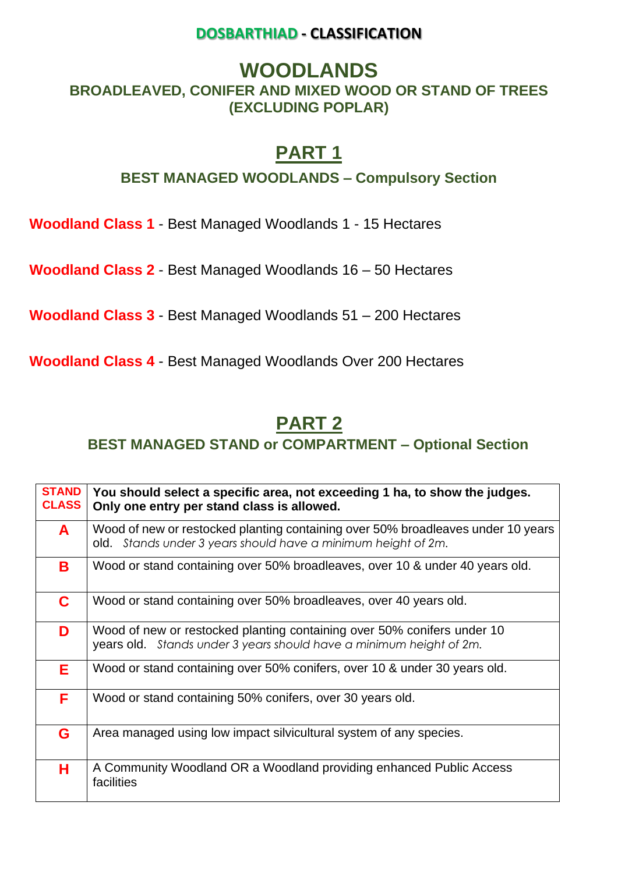### **DOSBARTHIAD - CLASSIFICATION**

## **WOODLANDS**

## **BROADLEAVED, CONIFER AND MIXED WOOD OR STAND OF TREES (EXCLUDING POPLAR)**

## **PART 1**

### **BEST MANAGED WOODLANDS – Compulsory Section**

**Woodland Class 1** - Best Managed Woodlands 1 - 15 Hectares

**Woodland Class 2** - Best Managed Woodlands 16 – 50 Hectares

**Woodland Class 3** - Best Managed Woodlands 51 – 200 Hectares

**Woodland Class 4** - Best Managed Woodlands Over 200 Hectares

## **PART 2**

**BEST MANAGED STAND or COMPARTMENT – Optional Section** 

| <b>STAND</b><br><b>CLASS</b> | You should select a specific area, not exceeding 1 ha, to show the judges.<br>Only one entry per stand class is allowed.                          |
|------------------------------|---------------------------------------------------------------------------------------------------------------------------------------------------|
| A                            | Wood of new or restocked planting containing over 50% broadleaves under 10 years<br>old. Stands under 3 years should have a minimum height of 2m. |
| B                            | Wood or stand containing over 50% broadleaves, over 10 & under 40 years old.                                                                      |
| C.                           | Wood or stand containing over 50% broadleaves, over 40 years old.                                                                                 |
| D                            | Wood of new or restocked planting containing over 50% conifers under 10<br>years old. Stands under 3 years should have a minimum height of 2m.    |
| E.                           | Wood or stand containing over 50% conifers, over 10 & under 30 years old.                                                                         |
| F.                           | Wood or stand containing 50% conifers, over 30 years old.                                                                                         |
| G                            | Area managed using low impact silvicultural system of any species.                                                                                |
| H.                           | A Community Woodland OR a Woodland providing enhanced Public Access<br>facilities                                                                 |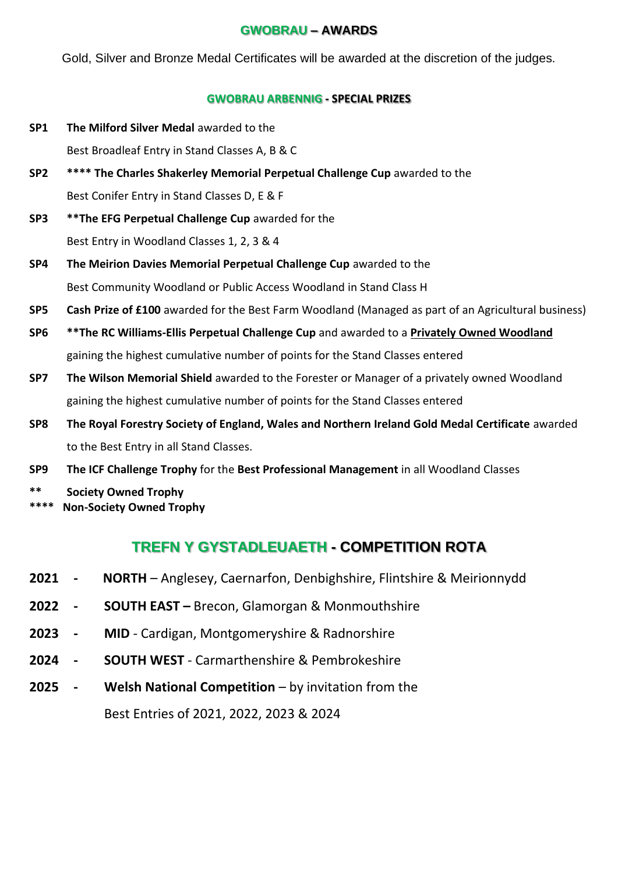#### **GWOBRAU – AWARDS**

Gold, Silver and Bronze Medal Certificates will be awarded at the discretion of the judges.

#### **GWOBRAU ARBENNIG - SPECIAL PRIZES**

**SP1** The Milford Silver Medal awarded to the

Best Broadleaf Entry in Stand Classes A, B & C

- **SP2 \*\*\*\* The Charles Shakerley Memorial Perpetual Challenge Cup** awarded to the Best Conifer Entry in Stand Classes D, E & F
- **SP3 \*\*The EFG Perpetual Challenge Cup** awarded for the Best Entry in Woodland Classes 1, 2, 3 & 4
- **SP4 The Meirion Davies Memorial Perpetual Challenge Cup** awarded to the Best Community Woodland or Public Access Woodland in Stand Class H
- **SP5 Cash Prize of £100** awarded for the Best Farm Woodland (Managed as part of an Agricultural business)
- **SP6 \*\*The RC Williams-Ellis Perpetual Challenge Cup** and awarded to a **Privately Owned Woodland** gaining the highest cumulative number of points for the Stand Classes entered
- **SP7 The Wilson Memorial Shield** awarded to the Forester or Manager of a privately owned Woodland gaining the highest cumulative number of points for the Stand Classes entered
- **SP8 The Royal Forestry Society of England, Wales and Northern Ireland Gold Medal Certificate** awarded to the Best Entry in all Stand Classes.
- **SP9 The ICF Challenge Trophy** for the **Best Professional Management** in all Woodland Classes
- **\*\* Society Owned Trophy**
- **\*\*\*\* Non-Society Owned Trophy**

## **TREFN Y GYSTADLEUAETH - COMPETITION ROTA**

- **2021 - NORTH** Anglesey, Caernarfon, Denbighshire, Flintshire & Meirionnydd
- **2022 - SOUTH EAST –** Brecon, Glamorgan & Monmouthshire
- **2023 - MID** Cardigan, Montgomeryshire & Radnorshire
- **2024 - SOUTH WEST** Carmarthenshire & Pembrokeshire
- **2025 - Welsh National Competition** by invitation from the Best Entries of 2021, 2022, 2023 & 2024